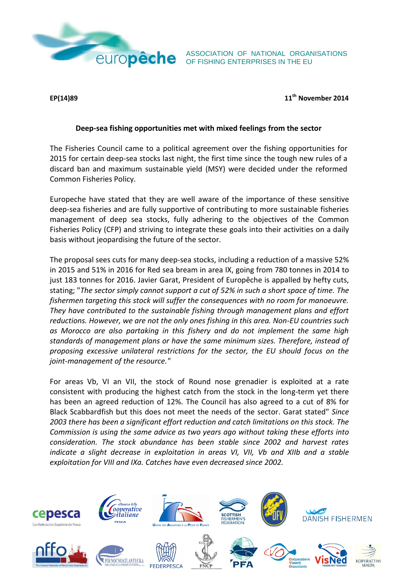

ASSOCIATION OF NATIONAL ORGANISATIONS **EUITOPÊCHE** ASSOCIATION OF NATIONAL ORGAN

**EP(14)89 11th November 2014**

## **Deep-sea fishing opportunities met with mixed feelings from the sector**

The Fisheries Council came to a political agreement over the fishing opportunities for 2015 for certain deep-sea stocks last night, the first time since the tough new rules of a discard ban and maximum sustainable yield (MSY) were decided under the reformed Common Fisheries Policy.

Europeche have stated that they are well aware of the importance of these sensitive deep-sea fisheries and are fully supportive of contributing to more sustainable fisheries management of deep sea stocks, fully adhering to the objectives of the Common Fisheries Policy (CFP) and striving to integrate these goals into their activities on a daily basis without jeopardising the future of the sector.

The proposal sees cuts for many deep-sea stocks, including a reduction of a massive 52% in 2015 and 51% in 2016 for Red sea bream in area IX, going from 780 tonnes in 2014 to just 183 tonnes for 2016. Javier Garat, President of Europêche is appalled by hefty cuts, stating; "*The sector simply cannot support a cut of 52% in such a short space of time. The fishermen targeting this stock will suffer the consequences with no room for manoeuvre. They have contributed to the sustainable fishing through management plans and effort reductions. However, we are not the only ones fishing in this area. Non-EU countries such as Morocco are also partaking in this fishery and do not implement the same high standards of management plans or have the same minimum sizes. Therefore, instead of proposing excessive unilateral restrictions for the sector, the EU should focus on the joint-management of the resource."* 

For areas Vb, VI an VII, the stock of Round nose grenadier is exploited at a rate consistent with producing the highest catch from the stock in the long-term yet there has been an agreed reduction of 12%. The Council has also agreed to a cut of 8% for Black Scabbardfish but this does not meet the needs of the sector. Garat stated" *Since 2003 there has been a significant effort reduction and catch limitations on this stock. The Commission is using the same advice as two years ago without taking these efforts into consideration. The stock abundance has been stable since 2002 and harvest rates indicate a slight decrease in exploitation in areas VI, VII, Vb and XIIb and a stable exploitation for VIII and IXa. Catches have even decreased since 2002.*